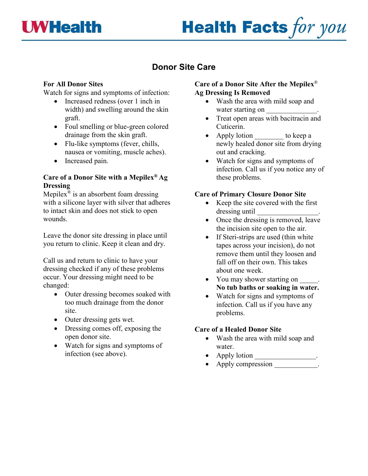

# **Health Facts for you**

## **Donor Site Care**

### **For All Donor Sites**

Watch for signs and symptoms of infection:

- Increased redness (over 1 inch in width) and swelling around the skin graft.
- Foul smelling or blue-green colored drainage from the skin graft.
- Flu-like symptoms (fever, chills, nausea or vomiting, muscle aches).
- Increased pain.

### **Care of a Donor Site with a Mepilex® Ag Dressing**

Mepilex<sup>®</sup> is an absorbent foam dressing with a silicone layer with silver that adheres to intact skin and does not stick to open wounds.

Leave the donor site dressing in place until you return to clinic. Keep it clean and dry.

Call us and return to clinic to have your dressing checked if any of these problems occur. Your dressing might need to be changed:

- Outer dressing becomes soaked with too much drainage from the donor site.
- Outer dressing gets wet.
- Dressing comes off, exposing the open donor site.
- Watch for signs and symptoms of infection (see above).

#### **Care of a Donor Site After the Mepilex**® **Ag Dressing Is Removed**

- Wash the area with mild soap and water starting on
- Treat open areas with bacitracin and Cuticerin.
- Apply lotion to keep a newly healed donor site from drying out and cracking.
- Watch for signs and symptoms of infection. Call us if you notice any of these problems.

#### **Care of Primary Closure Donor Site**

- Keep the site covered with the first dressing until \_\_\_\_\_\_\_\_\_\_\_\_\_\_\_\_\_.
- Once the dressing is removed, leave the incision site open to the air.
- If Steri-strips are used (thin white tapes across your incision), do not remove them until they loosen and fall off on their own. This takes about one week.
- You may shower starting on \_\_\_\_\_. **No tub baths or soaking in water.**
- Watch for signs and symptoms of infection. Call us if you have any problems.

#### **Care of a Healed Donor Site**

- Wash the area with mild soap and water.
- Apply lotion \_\_\_\_\_\_\_\_\_\_\_\_\_\_\_\_.
- Apply compression .